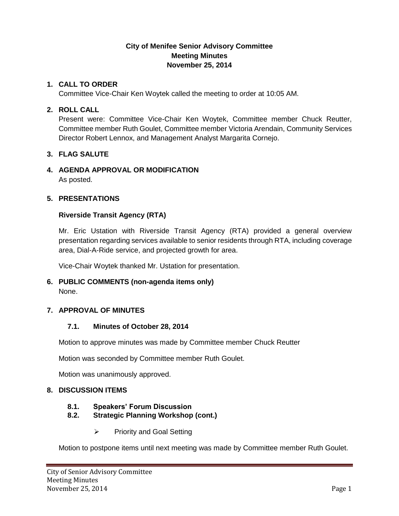# **City of Menifee Senior Advisory Committee Meeting Minutes November 25, 2014**

#### **1. CALL TO ORDER**

Committee Vice-Chair Ken Woytek called the meeting to order at 10:05 AM.

#### **2. ROLL CALL**

Present were: Committee Vice-Chair Ken Woytek, Committee member Chuck Reutter, Committee member Ruth Goulet, Committee member Victoria Arendain, Community Services Director Robert Lennox, and Management Analyst Margarita Cornejo.

# **3. FLAG SALUTE**

# **4. AGENDA APPROVAL OR MODIFICATION**

As posted.

#### **5. PRESENTATIONS**

#### **Riverside Transit Agency (RTA)**

Mr. Eric Ustation with Riverside Transit Agency (RTA) provided a general overview presentation regarding services available to senior residents through RTA, including coverage area, Dial-A-Ride service, and projected growth for area.

Vice-Chair Woytek thanked Mr. Ustation for presentation.

# **6. PUBLIC COMMENTS (non-agenda items only)**

None.

# **7. APPROVAL OF MINUTES**

# **7.1. Minutes of October 28, 2014**

Motion to approve minutes was made by Committee member Chuck Reutter

Motion was seconded by Committee member Ruth Goulet.

Motion was unanimously approved.

# **8. DISCUSSION ITEMS**

# **8.1. Speakers' Forum Discussion**

# **8.2. Strategic Planning Workshop (cont.)**

 $\triangleright$  Priority and Goal Setting

Motion to postpone items until next meeting was made by Committee member Ruth Goulet.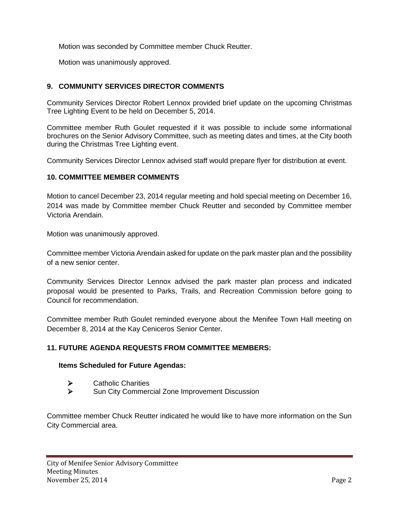Motion was seconded by Committee member Chuck Reutter.

Motion was unanimously approved.

# **9. COMMUNITY SERVICES DIRECTOR COMMENTS**

Community Services Director Robert Lennox provided brief update on the upcoming Christmas Tree Lighting Event to be held on December 5, 2014.

Committee member Ruth Goulet requested if it was possible to include some informational brochures on the Senior Advisory Committee, such as meeting dates and times, at the City booth during the Christmas Tree Lighting event.

Community Services Director Lennox advised staff would prepare flyer for distribution at event.

#### **10. COMMITTEE MEMBER COMMENTS**

Motion to cancel December 23, 2014 regular meeting and hold special meeting on December 16, 2014 was made by Committee member Chuck Reutter and seconded by Committee member Victoria Arendain.

Motion was unanimously approved.

Committee member Victoria Arendain asked for update on the park master plan and the possibility of a new senior center.

Community Services Director Lennox advised the park master plan process and indicated proposal would be presented to Parks, Trails, and Recreation Commission before going to Council for recommendation.

Committee member Ruth Goulet reminded everyone about the Menifee Town Hall meeting on December 8, 2014 at the Kay Ceniceros Senior Center.

# **11. FUTURE AGENDA REQUESTS FROM COMMITTEE MEMBERS:**

#### **Items Scheduled for Future Agendas:**

- > Catholic Charities<br>> Sun City Commerc
- Sun City Commercial Zone Improvement Discussion

Committee member Chuck Reutter indicated he would like to have more information on the Sun City Commercial area.